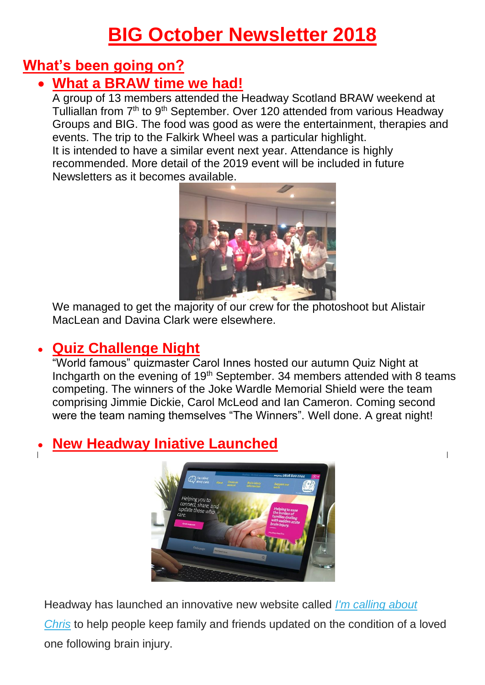## **BIG October Newsletter 2018**

## **What's been going on?**

## • **What a BRAW time we had!**

A group of 13 members attended the Headway Scotland BRAW weekend at Tulliallan from 7<sup>th</sup> to 9<sup>th</sup> September. Over 120 attended from various Headway Groups and BIG. The food was good as were the entertainment, therapies and events. The trip to the Falkirk Wheel was a particular highlight. It is intended to have a similar event next year. Attendance is highly recommended. More detail of the 2019 event will be included in future Newsletters as it becomes available.



We managed to get the majority of our crew for the photoshoot but Alistair MacLean and Davina Clark were elsewhere.

## • **Quiz Challenge Night**

"World famous" quizmaster Carol Innes hosted our autumn Quiz Night at Inchgarth on the evening of 19<sup>th</sup> September. 34 members attended with 8 teams competing. The winners of the Joke Wardle Memorial Shield were the team comprising Jimmie Dickie, Carol McLeod and Ian Cameron. Coming second were the team naming themselves "The Winners". Well done. A great night!

 $\overline{1}$ 

## • **New Headway Iniative Launched**



Headway has launched an innovative new website called *[I'm calling about](https://headway.us1.list-manage.com/track/click?u=74c5bf259cd513c5e5c333fb8&id=0e06392427&e=a8c06cfd94)* 

*[Chris](https://headway.us1.list-manage.com/track/click?u=74c5bf259cd513c5e5c333fb8&id=0e06392427&e=a8c06cfd94)* to help people keep family and friends updated on the condition of a loved one following brain injury.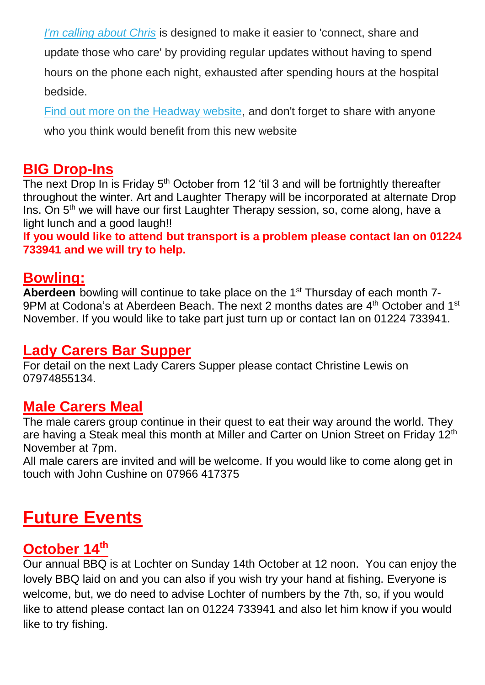*[I'm calling about Chris](https://headway.us1.list-manage.com/track/click?u=74c5bf259cd513c5e5c333fb8&id=53fe168374&e=a8c06cfd94)* is designed to make it easier to 'connect, share and update those who care' by providing regular updates without having to spend hours on the phone each night, exhausted after spending hours at the hospital bedside.

[Find out more on the Headway](https://headway.us1.list-manage.com/track/click?u=74c5bf259cd513c5e5c333fb8&id=4da3a70c71&e=a8c06cfd94) website, and don't forget to share with anyone who you think would benefit from this new website

#### **BIG Drop-Ins**

The next Drop In is Friday 5<sup>th</sup> October from 12 'til 3 and will be fortnightly thereafter throughout the winter. Art and Laughter Therapy will be incorporated at alternate Drop Ins. On 5<sup>th</sup> we will have our first Laughter Therapy session, so, come along, have a light lunch and a good laugh!!

**If you would like to attend but transport is a problem please contact Ian on 01224 733941 and we will try to help.**

#### **Bowling:**

**Aberdeen** bowling will continue to take place on the 1<sup>st</sup> Thursday of each month 7-9PM at Codona's at Aberdeen Beach. The next 2 months dates are  $4<sup>th</sup>$  October and 1<sup>st</sup> November. If you would like to take part just turn up or contact Ian on 01224 733941.

#### **Lady Carers Bar Supper**

For detail on the next Lady Carers Supper please contact Christine Lewis on 07974855134.

#### **Male Carers Meal**

The male carers group continue in their quest to eat their way around the world. They are having a Steak meal this month at Miller and Carter on Union Street on Friday 12<sup>th</sup> November at 7pm.

All male carers are invited and will be welcome. If you would like to come along get in touch with John Cushine on 07966 417375

## **Future Events**

#### **October 14th**

Our annual BBQ is at Lochter on Sunday 14th October at 12 noon. You can enjoy the lovely BBQ laid on and you can also if you wish try your hand at fishing. Everyone is welcome, but, we do need to advise Lochter of numbers by the 7th, so, if you would like to attend please contact Ian on 01224 733941 and also let him know if you would like to try fishing.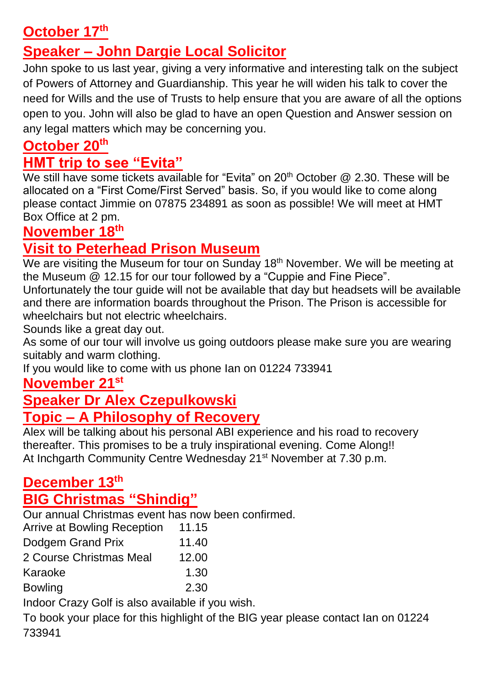## **October 17th**

## **Speaker – John Dargie Local Solicitor**

John spoke to us last year, giving a very informative and interesting talk on the subject of Powers of Attorney and Guardianship. This year he will widen his talk to cover the need for Wills and the use of Trusts to help ensure that you are aware of all the options open to you. John will also be glad to have an open Question and Answer session on any legal matters which may be concerning you.

### **October 20th**

#### **HMT trip to see "Evita"**

We still have some tickets available for "Evita" on 20<sup>th</sup> October @ 2.30. These will be allocated on a "First Come/First Served" basis. So, if you would like to come along please contact Jimmie on 07875 234891 as soon as possible! We will meet at HMT Box Office at 2 pm.

#### **November 18th**

## **Visit to Peterhead Prison Museum**

We are visiting the Museum for tour on Sunday 18<sup>th</sup> November. We will be meeting at the Museum @ 12.15 for our tour followed by a "Cuppie and Fine Piece".

Unfortunately the tour guide will not be available that day but headsets will be available and there are information boards throughout the Prison. The Prison is accessible for wheelchairs but not electric wheelchairs.

Sounds like a great day out.

As some of our tour will involve us going outdoors please make sure you are wearing suitably and warm clothing.

If you would like to come with us phone Ian on 01224 733941

## **November 21st**

### **Speaker Dr Alex Czepulkowski Topic – A Philosophy of Recovery**

Alex will be talking about his personal ABI experience and his road to recovery thereafter. This promises to be a truly inspirational evening. Come Along!! At Inchgarth Community Centre Wednesday 21<sup>st</sup> November at 7.30 p.m.

# **December 13th**

## **BIG Christmas "Shindig"**

Our annual Christmas event has now been confirmed.

| <b>Arrive at Bowling Reception</b> | 11.15 |
|------------------------------------|-------|
| Dodgem Grand Prix                  | 11.40 |
| 2 Course Christmas Meal            | 12.00 |
| Karaoke                            | 1.30  |
| <b>Bowling</b>                     | 2.30  |
|                                    |       |

Indoor Crazy Golf is also available if you wish.

To book your place for this highlight of the BIG year please contact Ian on 01224 733941